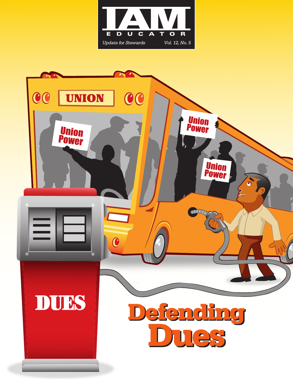

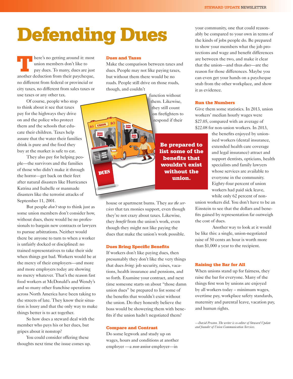# Defending Dues

here's no getting around it: most union members don't like to pay dues. To many, dues are just another deduction from their paycheque, no different from federal or provincial or city taxes, no different from sales taxes or use taxes or any other tax.

Of course, people who stop to think about it see that taxes pay for the highways they drive on and the police who protect them and the schools that educate their children. Taxes help assure that the water their families drink is pure and the food they buy at the market is safe to eat.

They also pay for helping people—the survivors and the families of those who didn't make it through the horror—get back on their feet after natural disasters like Hurricanes Katrina and Isabelle or manmade disasters like the terrorist attacks of September 11, 2001.

But people *don't* stop to think just as some union members don't consider how, without dues, there would be no professionals to bargain new contracts or lawyers to pursue arbitrations. Neither would there be anyone to turn to when a worker is unfairly docked or disciplined: no trained representatives to take their side when things got bad. Workers would be at the mercy of their employers—and more and more employers today are showing no mercy whatever. That's the reason fast food workers at McDonald's and Wendy's and so many other franchise operations across North America have been taking to the streets of late. They know their situation is lousy and that the only way to make things better is to act together.

So how does a steward deal with the member who pays his or her dues, but gripes about it nonstop?

You could consider offering these thoughts next time the issue comes up.

### Dues and Taxes

Make the comparison between taxes and dues. People may not like paying taxes, but without them there would be no roads. People still drive on those roads, though, and couldn't

function without them. Likewise, they still count on firefighters to respond if their **UNION DUES** 

Be prepared to list some of the benefits that wouldn't exist without the union.

house or apartment burns. They *use the services* that tax monies support, even though they're not crazy about taxes. Likewise, they *benefit* from the union's work, even though they might not like paying the dues that make the union's work possible.

#### Dues Bring Specific Benefits

If workers don't like paying dues, then presumably they don't like the very things that dues *bring*: job security, raises, vacations, health insurance and pensions, and so forth. Examine your contract, and next time someone starts on about "those damn union dues" be prepared to list some of the benefits that wouldn't exist without the union. Do they honestly believe the boss would be showering them with benefits if the union hadn't negotiated them?

#### Compare and Contrast

Do some legwork and study up on wages, hours and conditions at another employer —a *non-union* employer—in

your community, one that could reasonably be compared to your own in terms of the kinds of jobs people do. Be prepared to show your members what the job protections and wage and benefit differences are between the two, and make it clear that the union—and thus *dues*—are the reason for those differences. Maybe you can even get your hands on a paycheque stub from the other workplace, and show it as evidence.

### Run the Numbers

Give them some statistics. In 2013, union workers' median hourly wages were \$27.05, compared with an average of \$22.08 for non-union workers. In 2013,

> the benefits enjoyed by unionised workers (dental insurance, extended health care coverage and legal insurance) attract and support dentists, opticians, health specialists and family lawyers whose services are available to everyone in the community. Eighty-four percent of union workers had paid sick leave, while only 62 percent of non-

union workers did. You don't have to be an Einstein to see that the dollars and benefits gained by representation far outweigh the cost of dues.

Another way to look at it would be like this: a single, union-negotiated raise of 50 cents an hour is worth more than \$1,000 a year to the recipient.

#### Raising the Bar for All

When unions stand up for fairness, they raise the bar for everyone. Many of the things first won by unions are enjoyed by all workers today – minimum wages, overtime pay, workplace safety standards, maternity and parental leave, vacation pay, and human rights.

*—David Prosten. The writer is co-editor of Steward Update and founder of Union Communication Services.*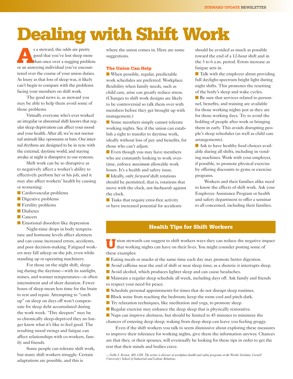## Dealing with Shift Work

s a steward, the odds are pretty<br>good that you've lost sleep more<br>than once over a nagging problem good that you've lost sleep more than once over a nagging problem or an annoying individual you've encountered over the course of your union duties. As lousy as that loss of sleep was, it likely can't begin to compare with the problems facing your members on shift work.

The good news is, as steward you may be able to help them avoid some of those problems.

Virtually everyone who's ever worked an irregular or abnormal shift knows that regular sleep deprivation can affect your mood and your health. After all, we're not nocturnal animals like opossums or bats. Our internal rhythms are designed to be in sync with the external, daytime world, and staying awake at night is disruptive to our systems.

Shift work can be so disruptive as to negatively affect a worker's ability to effectively perform her or his job, and it may also affect workers' health by causing or worsening:

- Cardiovascular problems
- Digestive problems
- Fertility problems
- Diabetes
- Cancers

■ Emotional disorders like depression

Night-time drops in body temperature and hormone levels affect alertness and can cause increased errors, accidents, and poor decision-making. Fatigued workers may fall asleep on the job, even while standing up or operating machinery.

For those on the night shift, sleeping during the daytime—with its sunlight, noises, and warmer temperatures—is often intermittent and of short duration. Fewer hours of sleep mean less time for the brain to rest and repair. Attempting to "catch up" on sleep on days off won't compensate for sleep debt accumulated during the work week. "Day sleepers" may be so chronically sleep-deprived they no longer know what it's like to feel good. The resulting mood swings and fatigue can affect relationships with co-workers, family and friends.

Some people can tolerate shift work, but many shift workers struggle. Certain adaptations are possible, and this is

where the union comes in. Here are some suggestions.

### The Union Can Help

■ When possible, regular, predictable work schedules are preferred. Workplace flexibility when family needs, such as child care, arise can greatly reduce stress. (Changes to shift work designs are likely to be controversial so talk them over with members before they get brought up with management.)

■ Some members simply cannot tolerate working nights. See if the union can establish a right to transfer to daytime work, ideally without loss of pay and benefits, for those who can't adjust.

■ Even though you may have members who are constantly looking to work overtime, enforce *maximum* allowable work hours. It's a health and safety issue.

■ Ideally, only *forward* shift rotations should be permitted, that is, rotations that move with the clock, not *backwards* against the clock.

■ Tasks that require error-free activity or have increased potential for accidents should be avoided as much as possible toward the end of a 12-hour shift and in the 3 to 6 a.m. period. Errors increase as fatigue sets in.

■ Talk with the employer about providing full daylight-spectrum bright light during night shifts. This promotes the resetting of the body's sleep and wake cycles.

■ Be sure that services related to personnel, benefits, and training are available for those working nights just as they are for those working days. Try to avoid the holding of people after work or bringing them in early. This avoids disrupting people's sleep schedules (as well as child care arrangements).

■ Ask to have healthy food choices available during all shifts, including in vending machines. Work with your employer, if possible, to promote physical exercise by offering discounts to gyms or exercise programs.

Workers and their families alike need to know the effects of shift work. Ask your Employee Assistance Program or health and safety department to offer a seminar to all concerned, including their families.

### Health Tips for Shift Workers

Union stewards can suggest to shift workers ways they can reduce the negative impact that working nights can have on their lives. You might consider posting some of these examples:

- Eating meals or snacks at the same time each day may promote better digestion.
- Avoid caffeine near the end of shift or near sleep time; as a diuretic it interrupts sleep.
- Avoid alcohol, which produces lighter sleep and can cause headaches.

■ Maintain a regular sleep schedule all week, including days off. Ask family and friends to respect your need for peace.

- Schedule personal appointments for times that do not disrupt sleep routines.
- Block noise from reaching the bedroom; keep the room cool and pitch-dark.
- Try relaxation techniques, like meditation and yoga, to promote sleep.
- $\blacksquare$  Regular exercise may enhance the deep sleep that is physically restorative.

■ Naps can improve alertness, but should be limited to 45 minutes to minimize the chances of entering deep sleep; waking from deep sleep can leave you feeling groggy.

Even if the shift workers you talk to seem dismissive about exploring these measures to improve their tolerance for working nights, give them the information anyway. Chances are that they, or their spouses, will eventually be looking for these tips in order to get the rest that their minds and bodies crave.

*—Nellie J. Brown, MS, CIH. The writer is director of workplace health and safety programs at the Worker Institute, Cornell University's School of Industrial and Labour Relations.*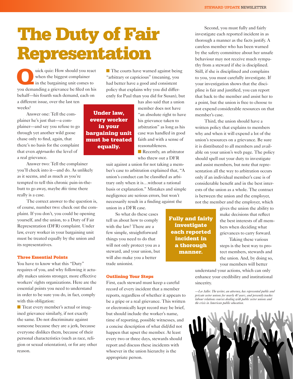## The Duty of Fair Representation

wick quiz: How should you react<br>when the biggest complainer<br>in the bargaining unit comes to<br>you demanding a griange of below the big when the biggest complainer in the bargaining unit comes to you demanding a grievance be filed on his behalf—his fourth such demand, each on a different issue, over the last ten

weeks?

Answer one: Tell the complainer he's just that—a complainer—and say you refuse to go through yet another wild goose chase only to find, again, that there's no basis for the complaint that even *approaches* the level of a real grievance.

Answer two: Tell the complainer you'll check into it—and do. As unlikely as it seems, and as much as you're tempted to tell this chronic pain-in-thebutt to go away, maybe *this* time there really is a case.

The correct answer to the question is, of course, number two: check out the complaint. If you don't, you could be opening yourself, and the union, to a Duty of Fair Representation (DFR) complaint. Under law, every worker in your bargaining unit must be treated equally by the union and its representatives.

### Three Essential Points

You have to know what this "Duty" requires of you, and why following it actually makes unions stronger, more effective workers' rights organizations. Here are the essential points you need to understand in order to be sure you do, in fact, comply with this obligation:

■ Treat every member's actual or imagined grievance similarly, if not exactly the same. Do not discriminate against someone because they are a jerk, because everyone dislikes them, because of their personal characteristics (such as race, religion or sexual orientation), or for any other reason.

■ The courts have warned against being "arbitrary or capricious" (meaning, you had better have a good and consistent policy that explains why you did differently for Paul than you did for Susan), but

> has also said that a union member does not have "an absolute right to have his grievance taken to arbitration" as long as his case was handled in good faith and with a sense of reasonableness.

■ Recently, an arbitrator who threw out a DFR

> Fully and fairly investigate each reported incident in a thorough manner.

suit against a union for not taking a member's case to arbitration explained that, "A union's conduct can be classified as arbitrary only when it is…without a rational basis or explanation." Mistakes and simple negligence are serious errors, but won't necessarily result in a finding against the union in a DFR case.

So what do these cases tell us about how to comply with the law? There are a few simple, straightforward things you need to do that will not only protect you as a steward, and your union, but will also make you a better trade unionist.

### Outlining Your Steps

First, each steward must keep a careful record of every incident that a member reports, regardless of whether it appears to be a gripe or a real grievance. This written or electronically kept record may be brief, but should include the worker's name, time of reporting, possible witnesses, and a concise description of what did/did not happen that upset the member. At least every two or three days, stewards should report and discuss these incidents with whoever in the union hierarchy is the appropriate person.

Second, you must fully and fairly investigate each reported incident in as thorough a manner as the facts justify. A careless member who has been warned by the safety committee about her unsafe behaviour may not receive much sympathy from a steward if she is disciplined. Still, if she is disciplined and complains to you, you must carefully investigate. If your investigation shows that the discipline is fair and justified, you can report that back to the member and assist her to a point, but the union is free to choose to not expend considerable resources on that member's case.

Third, the union should have a written policy that explains to members why and when it will expend a lot of the union's resources on a grievance. Be sure it is distributed to all members and available on your union's web page. The policy should spell out your duty to investigate and assist members, but note that representation all the way to arbitration occurs only if an individual member's case is of considerable benefit and in the best interests of the union as a whole. The contract is between the union and the employer, not the member and the employer, which

> gives the union the ability to make decisions that reflect the best interests of all members when deciding what grievances to carry forward.

Taking these various steps is the best way to protect members, stewards and the union. And, by doing so, your members will better

understand your actions, which can only enhance your credibility and institutional sincerity.

*—Lee Adler. The writer, an attorney, has represented public and private sector unions for nearly 40 years, and presently teaches labour relations courses dealing with public sector unions and*   $the$  crisis in American public education.



Under law, every worker in your bargaining unit must be treated equally.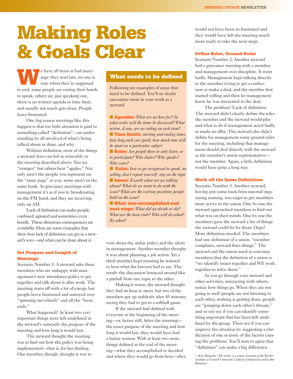## Making Roles & Goals Clear

e have all been at bad meetings: they start late, no one is sure when they're supposed to end, some people are raising their hands to speak, others are just speaking out, there is no written agenda or time limit, and usually not much gets done. People leave frustrated.

One big reason meetings like this happen is that too little attention is paid to something called "definition"—an understanding by all involved of what's being talked about or done, and why.

Without definition, most of the things a steward does can fail as miserably as the meeting described above. You say "oranges" but others hear "apples." Not only aren't the people you represent on the "same page" as you, some aren't in the same book. At grievance meetings with management it's as if you're broadcasting on the FM band, and they are receiving only on AM.

Lack of definition can make people confused, agitated and sometimes even hostile. These disastrous consequences are avoidable. Here are some examples that show how lack of definition can get in a steward's way—and what can be done about it.

### Set Purpose and Length of Meetings

Scenario Number 1: A steward asks three members who are unhappy with management's new attendance policy to get together and talk about it after work. The meeting starts off with a lot of energy but people leave frustrated and annoyed over "spinning our wheels" and all the "loose ends."

What happened? At least two very important things were left undefined in the steward's outreach: the purpose of the meeting and how long it would last.

The steward thought the meeting was to find out how the policy was being implemented—that is, for fact finding. One member, though, thought it was to

## What needs to be defined

Following are examples of areas that need to be defined. You'll no doubt encounter more in your work as a steward.

■ **Agendas:** *What are we here for? In what order will the items be discussed? What action, if any, are we taking on each item?* ■ **Time limits:** *starting and ending times*, *how long each can speak, how much time will be spent on a particular subject* ■ **Roles:** *Are people there to only listen, or* 

*to participate? Who chairs? Who speaks? Who votes?*

■ **Rules:** how to get recognized to speak, no *yelling, don't repeat yourself, stay on the topic* ■ **Issues:** *Exactly what are we talking about? What do we want to do with the issue? What are the various positions people hold on the issue?*

■ What was accomplished and next steps: *What did we decide or do? What are the loose ends? Who will do what? By when?*

vent about the unfair policy and the idiots in management. Another member thought it was about planning a job action. Yet a third member kept insisting he wanted to hear what the lawyers had to say. The result: the discussion bounced around like a pinball from one topic to the other.

Making it worse, the steward thought they had an hour to meet, but two of the members got up suddenly after 45 minutes saying they had to get to a softball game.

If the steward had defined with everyone at the beginning of the meeting—or, better still, *before* the meeting the exact purpose of the meeting and how long it would last, they would have had a better session. With at least two more things defined at the end of the meeting—what they accomplished or decided and where they would go from here—they would not have been so frustrated and they would have left the meeting much more ready to take the next steps.

### Define Roles, Ground Rules

Scenario Number 2: Another steward had a grievance meeting with a member and management over discipline. It went badly. Management kept talking directly to the member trying to get a confession or make a deal, and the member first started yelling and then let management know he was interested in the deal.

The problem? Lack of definition. The steward didn't clearly define the roles the member and the steward would play and what to do if management acted badly or made an offer. The steward also didn't define for management some ground rules for the meeting, including that management should deal directly with the steward as the member's union representative not the member. Again, a little definition would have gone a long way.

### Work off the Same Definitions

Secnario Number 3: Another steward, having just come back from internal organizing training, was eager to get members more active in the union. One by one the steward approached members to find out what was on their minds. One by one the members gave the steward a list of things the steward could fix for them. Oops! More definition needed. The members had one definition of a union: "member complains, steward fixes things." The steward and the union need to convince members that the definition of a union is "we identify issues together and WE work together to solve them."

As you go through your steward and other activities, interacting with others, notice how things go. When they are not going so well (people are not listening to each other, nothing is getting done, people are "jumping down each other's throats," and so on) see if you can identify something important that has been left undefined by the group. Then see if you can improve the situation by suggesting a clarification of one or more of the factors causing the problems. You'll start to agree that "definition" can make a big difference.

*—Ken Margolies. The writer is a senior associate of the Worker Institute at Cornell University's School of Industrial and Labor Relations.*